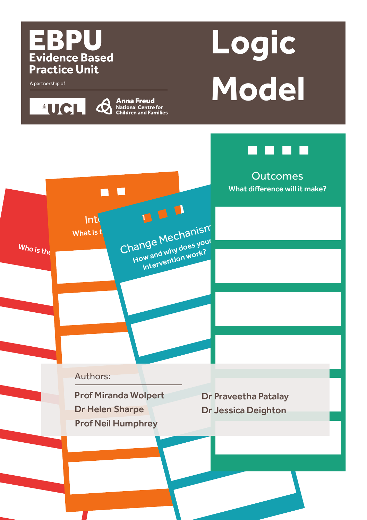### EBPU **Evidence Based Practice Unit**

**Anna Freud**<br>**A** National Centre for<br>Children and Families

A partnership of

**Logic Model**

**Outcomes** What difference will it make?  $\blacksquare$ Int $\mathfrak{l}$ What is the intervention of Mechanism How and why does your  $Who$  is the intervention work? Authors: Prof Miranda Wolpert Dr Praveetha Patalay Dr Helen Sharpe Dr Jessica DeightonProf Neil Humphrey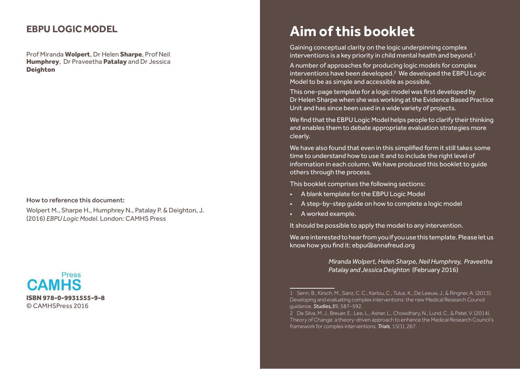### **EBPU LOGIC MODEL**

Prof Miranda Wolpert, Dr Helen Sharpe, Prof Neil Humphrey, Dr Praveetha Patalay and Dr Jessica Deighton

#### How to reference this document:

Wolpert M., Sharpe H., Humphrey N., Patalay P. & Deighton, J. (2016) *EBPU Logic Model.* London: CAMHS Press



# **Aim of this booklet**

Gaining conceptual clarity on the logic underpinning complex interventions is a key priority in child mental health and beyond.<sup>1</sup>

A number of approaches for producing logic models for complex interventions have been developed.2 We developed the EBPU Logic Model to be as simple and accessible as possible.

This one-page template for a logic model was first developed by Dr Helen Sharpe when she was working at the Evidence Based Practice Unit and has since been used in a wide variety of projects.

We find that the EBPU Logic Model helps people to clarify their thinking and enables them to debate appropriate evaluation strategies more clearly.

We have also found that even in this simplified form it still takes some time to understand how to use it and to include the right level of information in each column. We have produced this booklet to guide others through the process.

This booklet comprises the following sections:

- A blank template for the EBPU Logic Model
- A step-by-step guide on how to complete a logic model
- A worked example.

It should be possible to apply the model to any intervention.

We are interested to hear from you if you use this template. Please let us know how you find it: ebpu@annafreud.org

> *Miranda Wolpert, Helen Sharpe, Neil Humphrey, Praveetha Patalay and Jessica Deighton* (February 2016)

<sup>1</sup> Senn, B., Kirsch, M., Sanz, C. C., Karlou, C., Tulus, K., De Leeuw, J., & Ringner, A. (2013). Developing and evaluating complex interventions: the new Medical Research Council guidance. *Studies,5*9, 587–592.

<sup>2</sup> De Silva, M. J., Breuer, E., Lee, L., Asher, L., Chowdhary, N., Lund, C., & Patel, V. (2014). Theory of Change: a theory-driven approach to enhance the Medical Research Council's framework for complex interventions. *Trials*, 15(1), 267.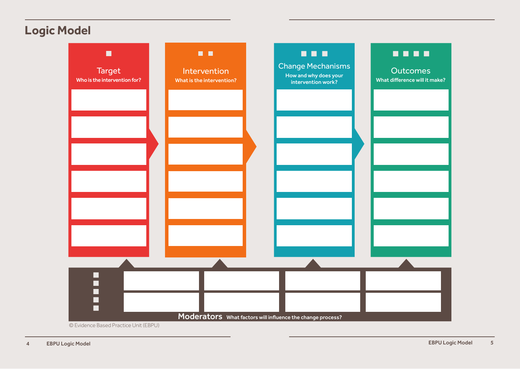# **Logic Model**

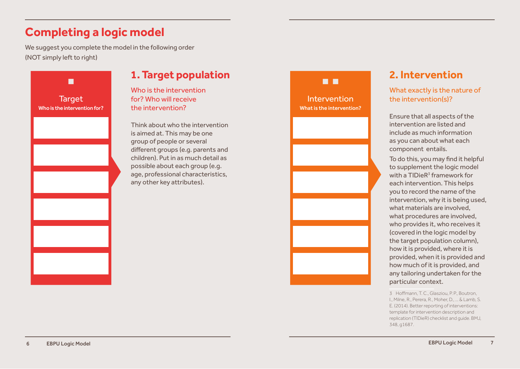# **Completing a logic model**

We suggest you complete the model in the following order (NOT simply left to right)



### **1. Target population**

Who is the intervention for? Who will receive the intervention?

Think about who the intervention is aimed at. This may be one group of people or several different groups (e.g. parents and children). Put in as much detail as possible about each group (e.g. age, professional characteristics, any other key attributes).



### **2. Intervention**

### What exactly is the nature of the intervention(s)?

Ensure that all aspects of the intervention are listed and include as much information as you can about what each component entails.

To do this, you may find it helpful to supplement the logic model with a  $TIDieR<sup>3</sup>$  framework for each intervention. This helps you to record the name of the intervention, why it is being used, what materials are involved, what procedures are involved, who provides it, who receives it (covered in the logic model by the target population column), how it is provided, where it is provided, when it is provided and how much of it is provided, and any tailoring undertaken for the particular context.

3 Hoffmann, T.C. Glasziou, P. P. Boutron I., Milne, R., Perera, R., Moher, D., ... & Lamb, S. E. (2014). Better reporting of interventions: template for intervention description and replication (TIDieR) checklist and guide. BMJ, 348, g1687.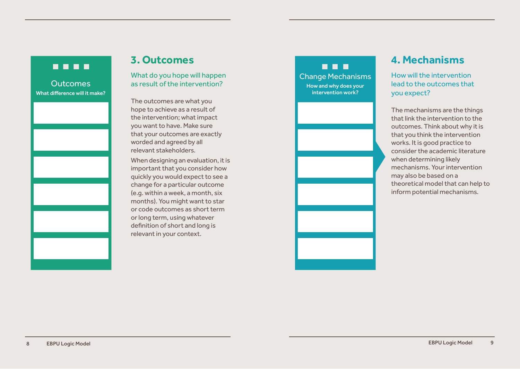### . . . .

**Outcomes** What difference will it make?

### **3. Outcomes**

What do you hope will happen as result of the intervention?

The outcomes are what you hope to achieve as a result of the intervention; what impact you want to have. Make sure that your outcomes are exactly worded and agreed by all relevant stakeholders.

When designing an evaluation, it is important that you consider how quickly you would expect to see a change for a particular outcome (e.g. within a week, a month, six months). You might want to star or code outcomes as short term or long term, using whatever definition of short and long is relevant in your context.

. . . Change Mechanisms How and why does your intervention work?

### **4. Mechanisms**

How will the intervention lead to the outcomes that you expect?

The mechanisms are the things that link the intervention to the outcomes. Think about why it is that you think the intervention works. It is good practice to consider the academic literature when determining likely mechanisms. Your intervention may also be based on a theoretical model that can help to inform potential mechanisms.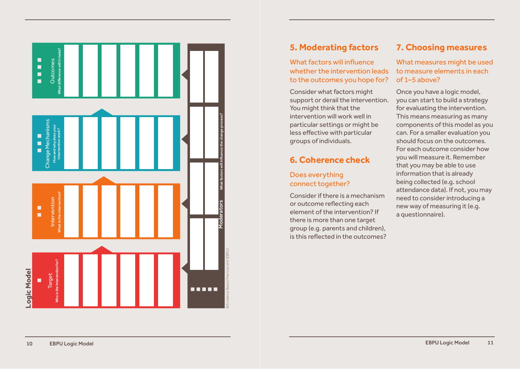

### **5. Moderating factors**

### What factors will influence whether the intervention leads to the outcomes you hope for?

Consider what factors might support or derail the intervention. You might think that the intervention will work well in particular settings or might be less effective with particular groups of individuals.

### **6. Coherence check**

### Does everything connect together?

Consider if there is a mechanism or outcome reflecting each element of the intervention? If there is more than one target group (e.g. parents and children), is this reflected in the outcomes?

### **7. Choosing measures**

What measures might be used to measure elements in each of 1–5 above?

Once you have a logic model, you can start to build a strategy for evaluating the intervention. This means measuring as many components of this model as you can. For a smaller evaluation you should focus on the outcomes. For each outcome consider how you will measure it. Remember that you may be able to use information that is already being collected (e.g. school attendance data). If not, you may need to consider introducing a new way of measuring it (e.g. a questionnaire).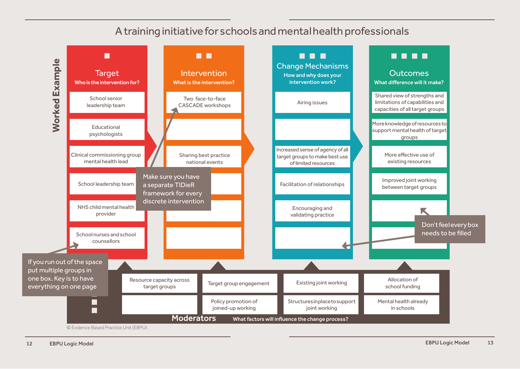## A training initiative for schools and mental health professionals

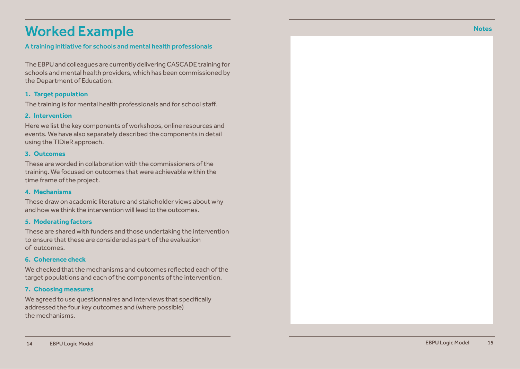# Worked Example

#### A training initiative for schools and mental health professionals

The EBPU and colleagues are currently delivering CASCADE training for schools and mental health providers, which has been commissioned by the Department of Education.

#### **1. Target population**

The training is for mental health professionals and for school staff.

#### **2. Intervention**

Here we list the key components of workshops, online resources and events. We have also separately described the components in detail using the TIDieR approach.

#### **3. Outcomes**

These are worded in collaboration with the commissioners of the training. We focused on outcomes that were achievable within the time frame of the project.

#### **4. Mechanisms**

These draw on academic literature and stakeholder views about why and how we think the intervention will lead to the outcomes.

#### **5. Moderating factors**

These are shared with funders and those undertaking the intervention to ensure that these are considered as part of the evaluation of outcomes.

#### **6. Coherence check**

We checked that the mechanisms and outcomes reflected each of the target populations and each of the components of the intervention.

#### **7. Choosing measures**

We agreed to use questionnaires and interviews that specifically addressed the four key outcomes and (where possible) the mechanisms.